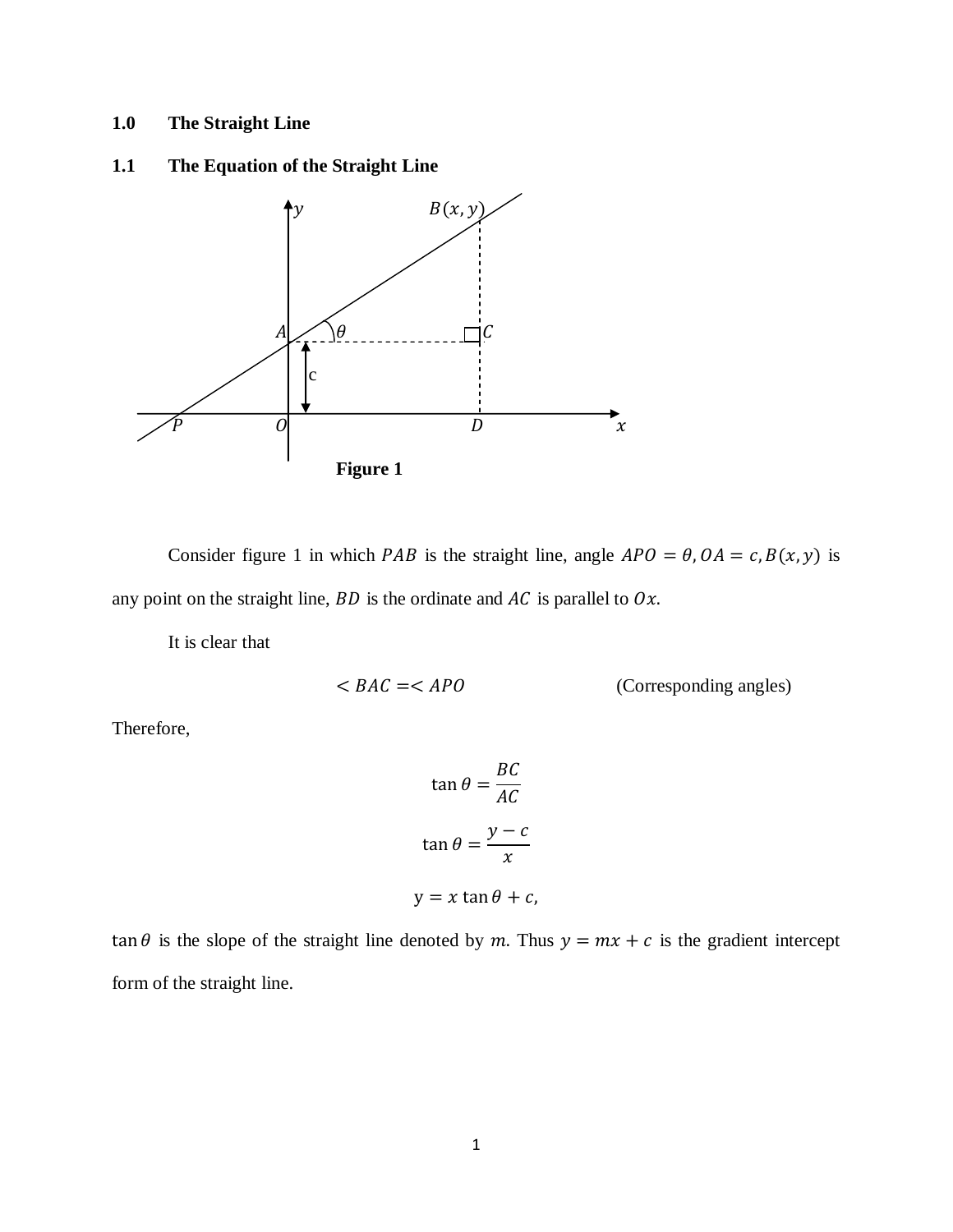# **1.0 The Straight Line**

**1.1 The Equation of the Straight Line**



Consider figure 1 in which *PAB* is the straight line, angle  $APO = \theta$ ,  $OA = c$ ,  $B(x, y)$  is any point on the straight line,  $BD$  is the ordinate and  $AC$  is parallel to  $Ox$ .

It is clear that

$$
\langle BAC = \langle APO \rangle
$$
 (Corresponding angles)

Therefore,

$$
\tan \theta = \frac{BC}{AC}
$$

$$
\tan \theta = \frac{y - c}{x}
$$

$$
y = x \tan \theta + c,
$$

tan  $\theta$  is the slope of the straight line denoted by m. Thus  $y = mx + c$  is the gradient intercept form of the straight line.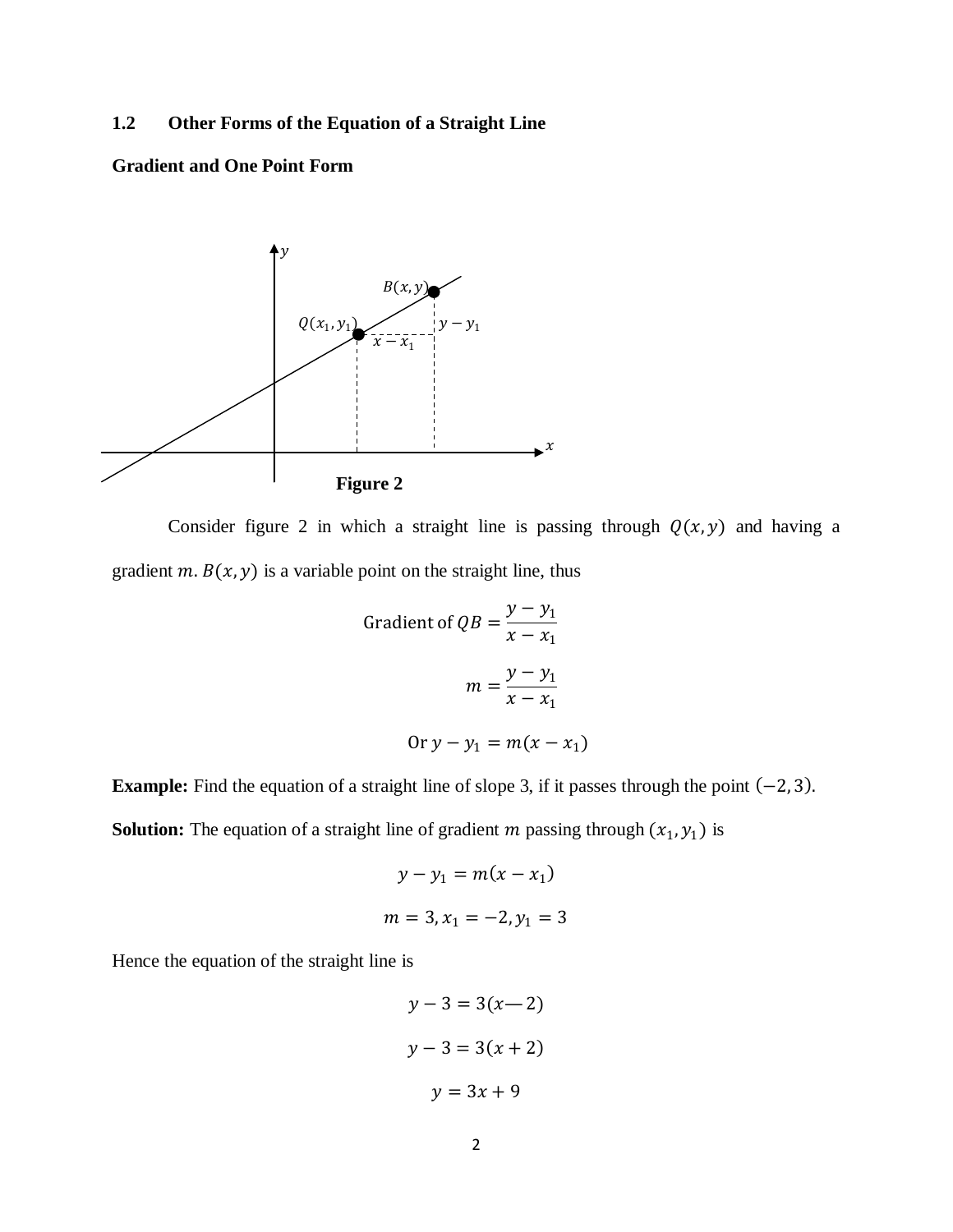## **1.2 Other Forms of the Equation of a Straight Line**

# **Gradient and One Point Form**



Consider figure 2 in which a straight line is passing through  $Q(x, y)$  and having a gradient  $m$ .  $B(x, y)$  is a variable point on the straight line, thus

Gradient of 
$$
QB = \frac{y - y_1}{x - x_1}
$$
  
\n
$$
m = \frac{y - y_1}{x - x_1}
$$
\n
$$
Or y - y_1 = m(x - x_1)
$$

**Example:** Find the equation of a straight line of slope 3, if it passes through the point  $(-2, 3)$ .

**Solution:** The equation of a straight line of gradient  $m$  passing through  $(x_1, y_1)$  is

$$
y - y_1 = m(x - x_1)
$$
  

$$
m = 3, x_1 = -2, y_1 = 3
$$

Hence the equation of the straight line is

$$
y-3 = 3(x-2)
$$
  

$$
y-3 = 3(x+2)
$$
  

$$
y = 3x + 9
$$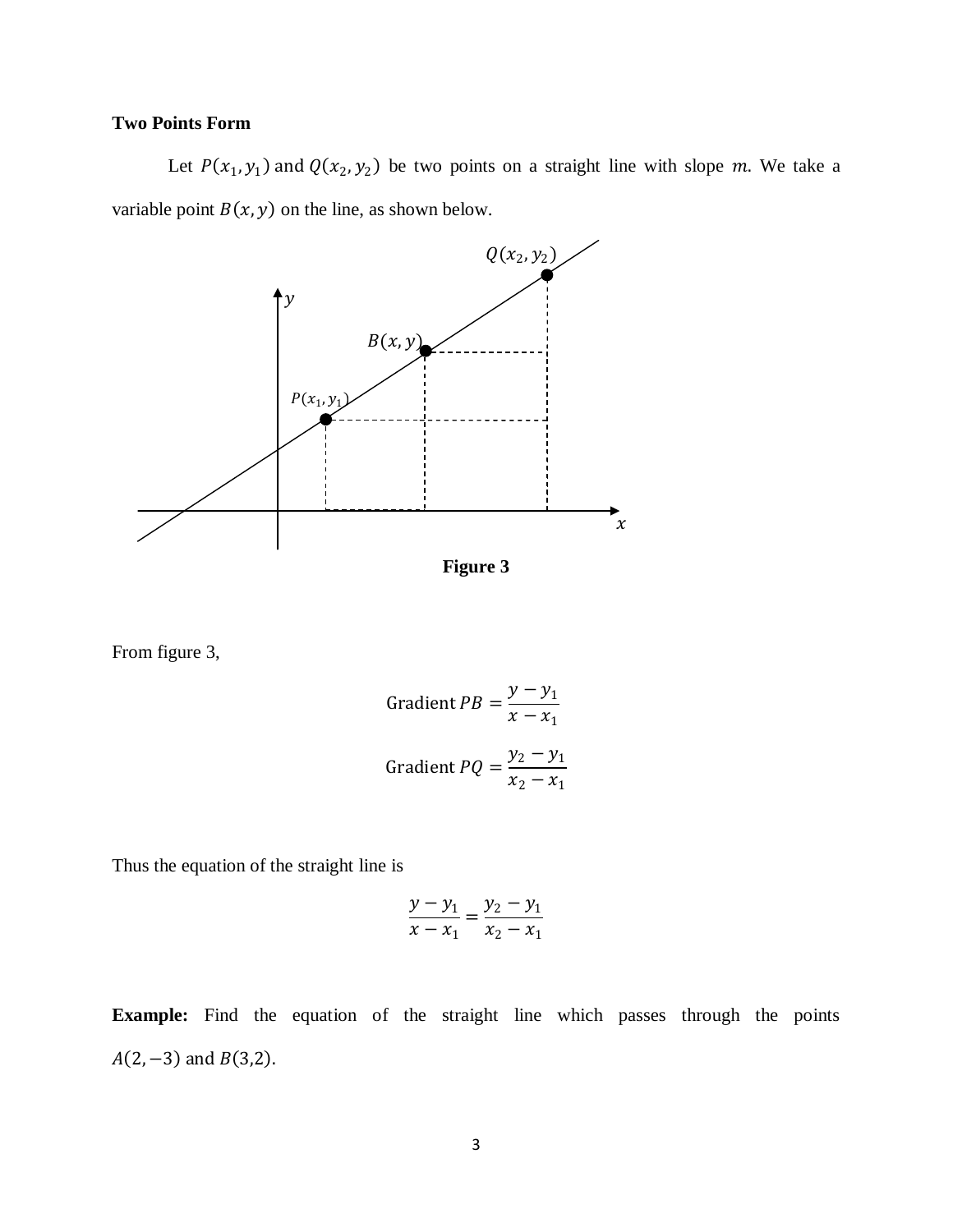# **Two Points Form**

Let  $P(x_1, y_1)$  and  $Q(x_2, y_2)$  be two points on a straight line with slope m. We take a variable point  $B(x, y)$  on the line, as shown below.



From figure 3,

Gradient 
$$
PB = \frac{y - y_1}{x - x_1}
$$
  
Gradient  $PQ = \frac{y_2 - y_1}{x_2 - x_1}$ 

Thus the equation of the straight line is

$$
\frac{y - y_1}{x - x_1} = \frac{y_2 - y_1}{x_2 - x_1}
$$

**Example:** Find the equation of the straight line which passes through the points  $A(2, -3)$  and  $B(3,2)$ .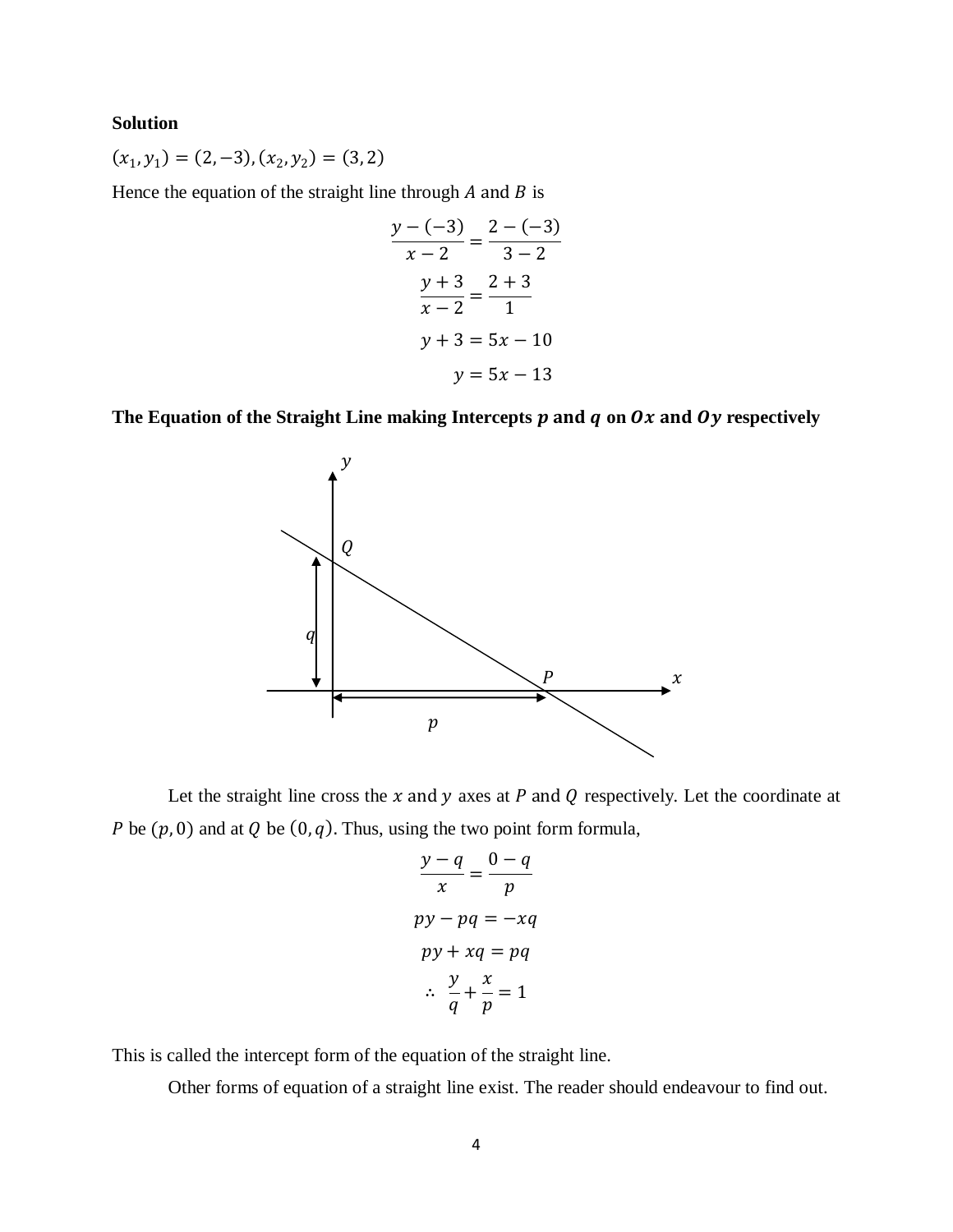#### **Solution**

 $(x_1, y_1) = (2, -3), (x_2, y_2) = (3, 2)$ 

Hence the equation of the straight line through  $A$  and  $B$  is

$$
\frac{y - (-3)}{x - 2} = \frac{2 - (-3)}{3 - 2}
$$

$$
\frac{y + 3}{x - 2} = \frac{2 + 3}{1}
$$

$$
y + 3 = 5x - 10
$$

$$
y = 5x - 13
$$

The Equation of the Straight Line making Intercepts  $p$  and  $q$  on  $Qx$  and  $Qy$  respectively



Let the straight line cross the  $x$  and  $y$  axes at  $P$  and  $Q$  respectively. Let the coordinate at P be  $(p, 0)$  and at Q be  $(0, q)$ . Thus, using the two point form formula,

$$
\frac{y-q}{x} = \frac{0-q}{p}
$$
  
py - pq = -xq  
py + xq = pq  

$$
\therefore \frac{y}{q} + \frac{x}{p} = 1
$$

This is called the intercept form of the equation of the straight line.

Other forms of equation of a straight line exist. The reader should endeavour to find out.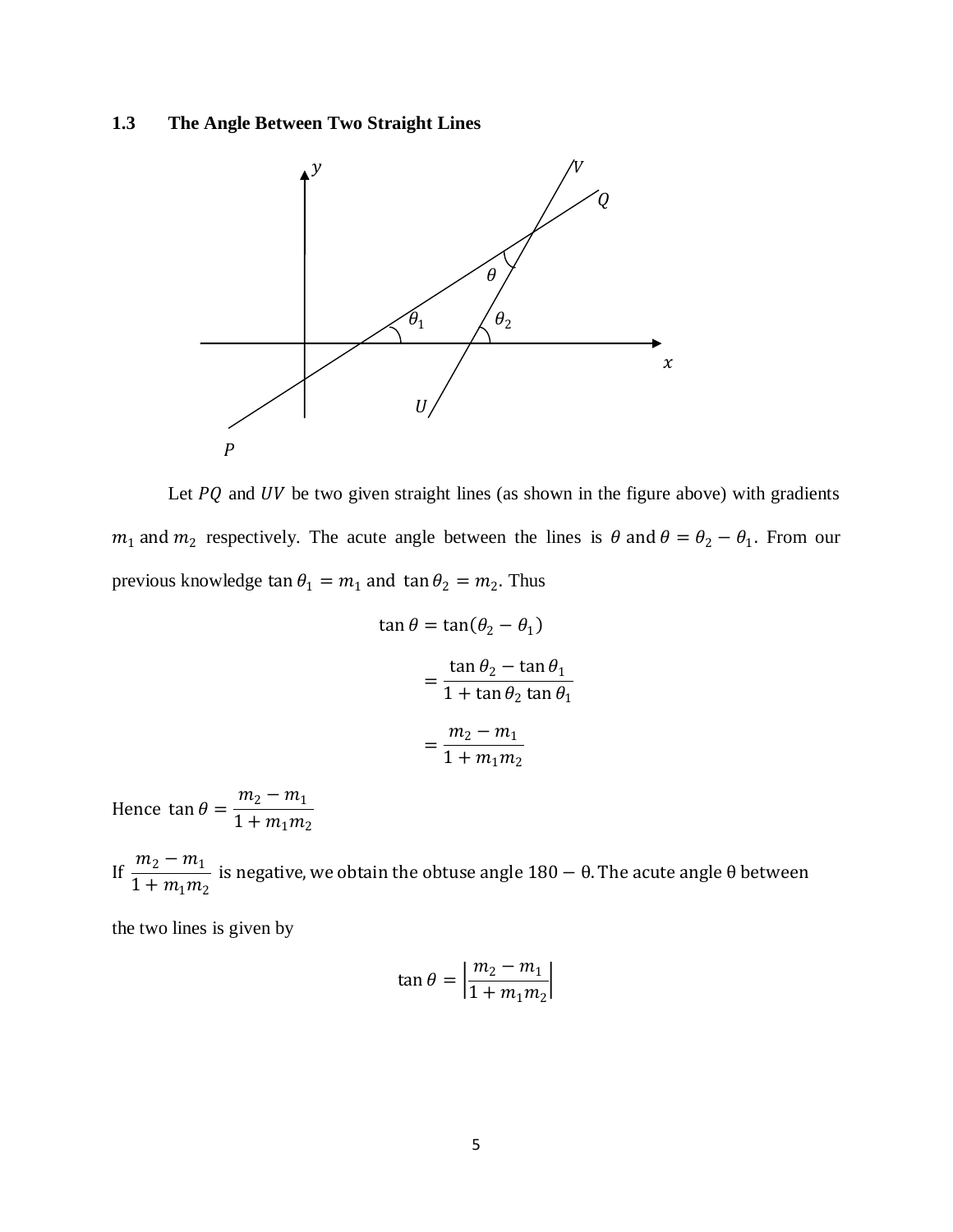# **1.3 The Angle Between Two Straight Lines**



Let  $PQ$  and  $UV$  be two given straight lines (as shown in the figure above) with gradients  $m_1$  and  $m_2$  respectively. The acute angle between the lines is  $\theta$  and  $\theta = \theta_2 - \theta_1$ . From our previous knowledge  $\tan \theta_1 = m_1$  and  $\tan \theta_2 = m_2$ . Thus

$$
\tan \theta = \tan(\theta_2 - \theta_1)
$$

$$
= \frac{\tan \theta_2 - \tan \theta_1}{1 + \tan \theta_2 \tan \theta_1}
$$

$$
= \frac{m_2 - m_1}{1 + m_1 m_2}
$$

Hence  $\tan \theta = \frac{m_2 - m_1}{1 + m_2 m_2}$  $1 + m_1 m_2$ 

If  $\frac{m_2 - m_1}{1 + m_2}$  $\frac{m_2 - m_1}{1 + m_1 m_2}$  is negative, we obtain the obtuse angle 180 – θ. The acute angle θ between

the two lines is given by

$$
\tan \theta = \left| \frac{m_2 - m_1}{1 + m_1 m_2} \right|
$$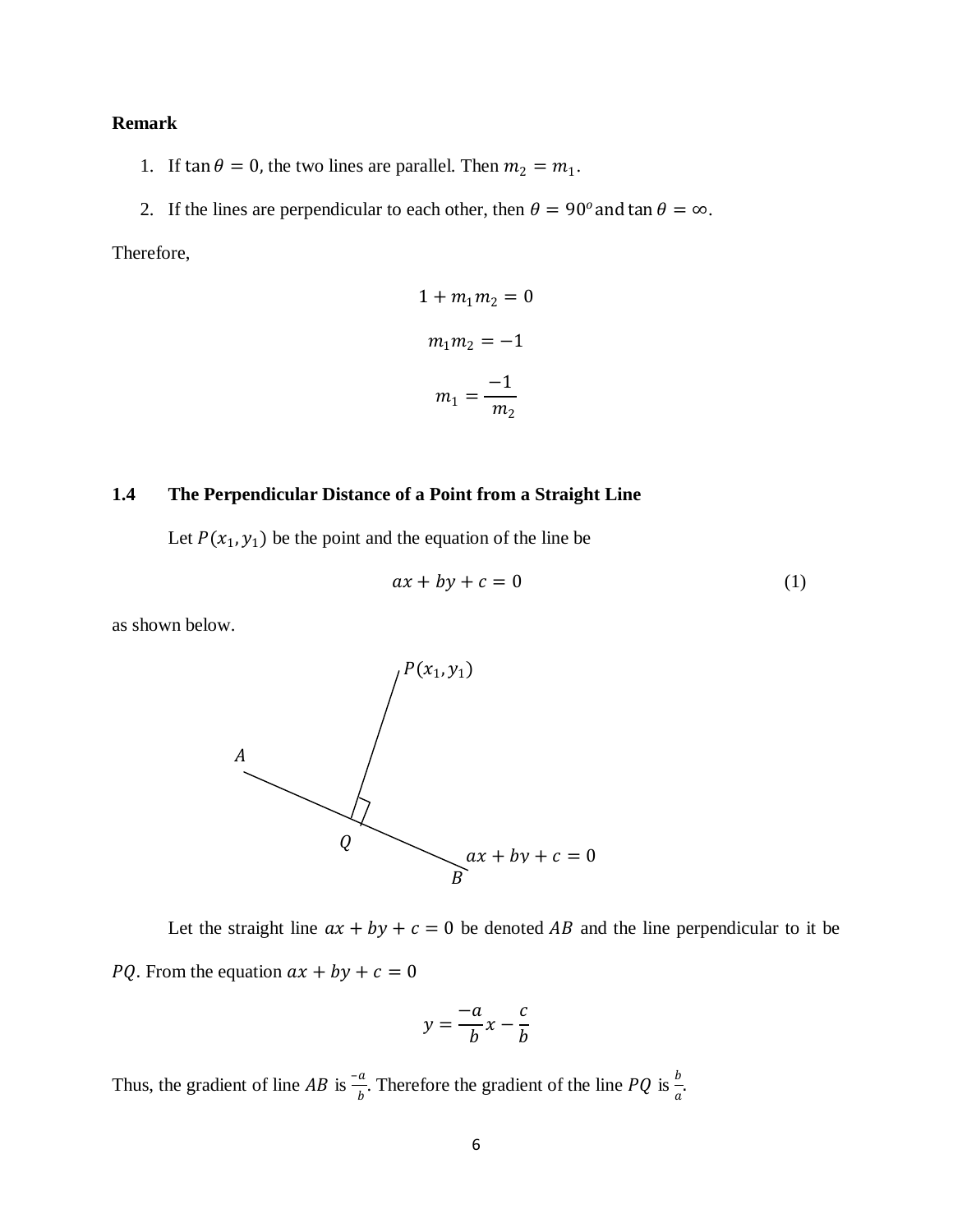## **Remark**

- 1. If  $\tan \theta = 0$ , the two lines are parallel. Then  $m_2 = m_1$ .
- 2. If the lines are perpendicular to each other, then  $\theta = 90^\circ$  and tan  $\theta = \infty$ .

Therefore,

$$
1 + m_1 m_2 = 0
$$

$$
m_1 m_2 = -1
$$

$$
m_1 = \frac{-1}{m_2}
$$

#### **1.4 The Perpendicular Distance of a Point from a Straight Line**

Let  $P(x_1, y_1)$  be the point and the equation of the line be

$$
ax + by + c = 0 \tag{1}
$$

as shown below.



Let the straight line  $ax + by + c = 0$  be denoted AB and the line perpendicular to it be *PQ*. From the equation  $ax + by + c = 0$ 

$$
y = \frac{-a}{b}x - \frac{c}{b}
$$

Thus, the gradient of line AB is  $\frac{-a}{b}$ . Therefore the gradient of the line PQ is  $\frac{b}{a}$ .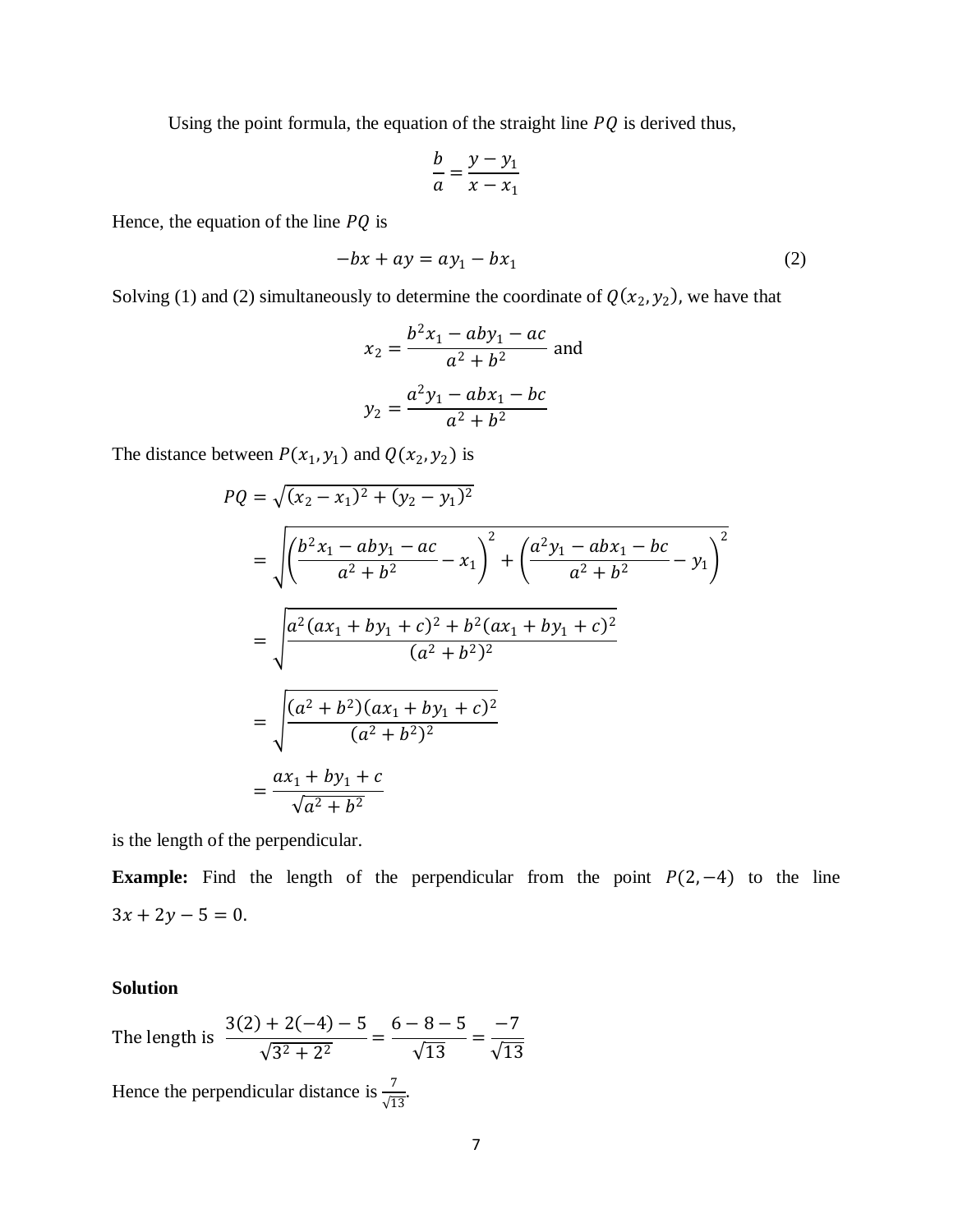Using the point formula, the equation of the straight line  $PQ$  is derived thus,

$$
\frac{b}{a} = \frac{y - y_1}{x - x_1}
$$

Hence, the equation of the line  $PQ$  is

$$
-bx + ay = ay_1 - bx_1 \tag{2}
$$

Solving (1) and (2) simultaneously to determine the coordinate of  $Q(x_2, y_2)$ , we have that

$$
x_2 = \frac{b^2 x_1 - aby_1 - ac}{a^2 + b^2}
$$
 and  

$$
y_2 = \frac{a^2 y_1 - abx_1 - bc}{a^2 + b^2}
$$

The distance between  $P(x_1, y_1)$  and  $Q(x_2, y_2)$  is

$$
PQ = \sqrt{(x_2 - x_1)^2 + (y_2 - y_1)^2}
$$
  
= 
$$
\sqrt{\left(\frac{b^2x_1 - aby_1 - ac}{a^2 + b^2} - x_1\right)^2 + \left(\frac{a^2y_1 - abx_1 - bc}{a^2 + b^2} - y_1\right)^2}
$$
  
= 
$$
\sqrt{\frac{a^2(ax_1 + by_1 + c)^2 + b^2(ax_1 + by_1 + c)^2}{(a^2 + b^2)^2}}
$$
  
= 
$$
\sqrt{\frac{(a^2 + b^2)(ax_1 + by_1 + c)^2}{(a^2 + b^2)^2}}
$$
  
= 
$$
\frac{ax_1 + by_1 + c}{\sqrt{a^2 + b^2}}
$$

is the length of the perpendicular.

**Example:** Find the length of the perpendicular from the point  $P(2, -4)$  to the line  $3x + 2y - 5 = 0.$ 

## **Solution**

The length is 
$$
\frac{3(2) + 2(-4) - 5}{\sqrt{3^2 + 2^2}} = \frac{6 - 8 - 5}{\sqrt{13}} = \frac{-7}{\sqrt{13}}
$$

Hence the perpendicular distance is  $\frac{7}{\sqrt{13}}$ .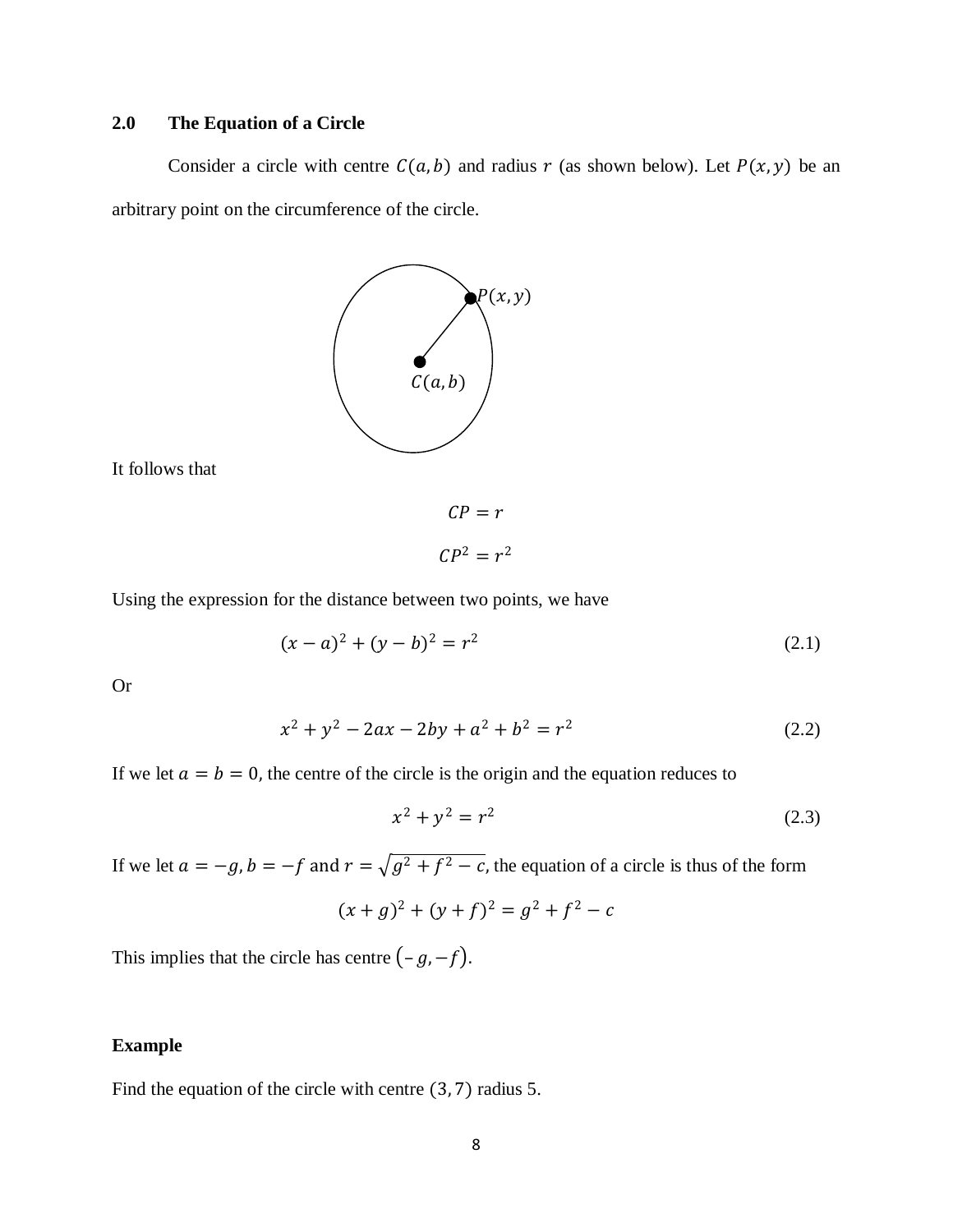## **2.0 The Equation of a Circle**

Consider a circle with centre  $C(a, b)$  and radius r (as shown below). Let  $P(x, y)$  be an arbitrary point on the circumference of the circle.



It follows that

$$
CP = r
$$

$$
CP^2 = r^2
$$

Using the expression for the distance between two points, we have

$$
(x-a)^2 + (y-b)^2 = r^2
$$
\n(2.1)

Or

$$
x^2 + y^2 - 2ax - 2by + a^2 + b^2 = r^2
$$
 (2.2)

If we let  $a = b = 0$ , the centre of the circle is the origin and the equation reduces to

$$
x^2 + y^2 = r^2 \tag{2.3}
$$

If we let  $a = -g$ ,  $b = -f$  and  $r = \sqrt{g^2 + f^2} - c$ , the equation of a circle is thus of the form

$$
(x+g)^2 + (y+f)^2 = g^2 + f^2 - c
$$

This implies that the circle has centre  $(-g, -f)$ .

## **Example**

Find the equation of the circle with centre (3, 7) radius 5.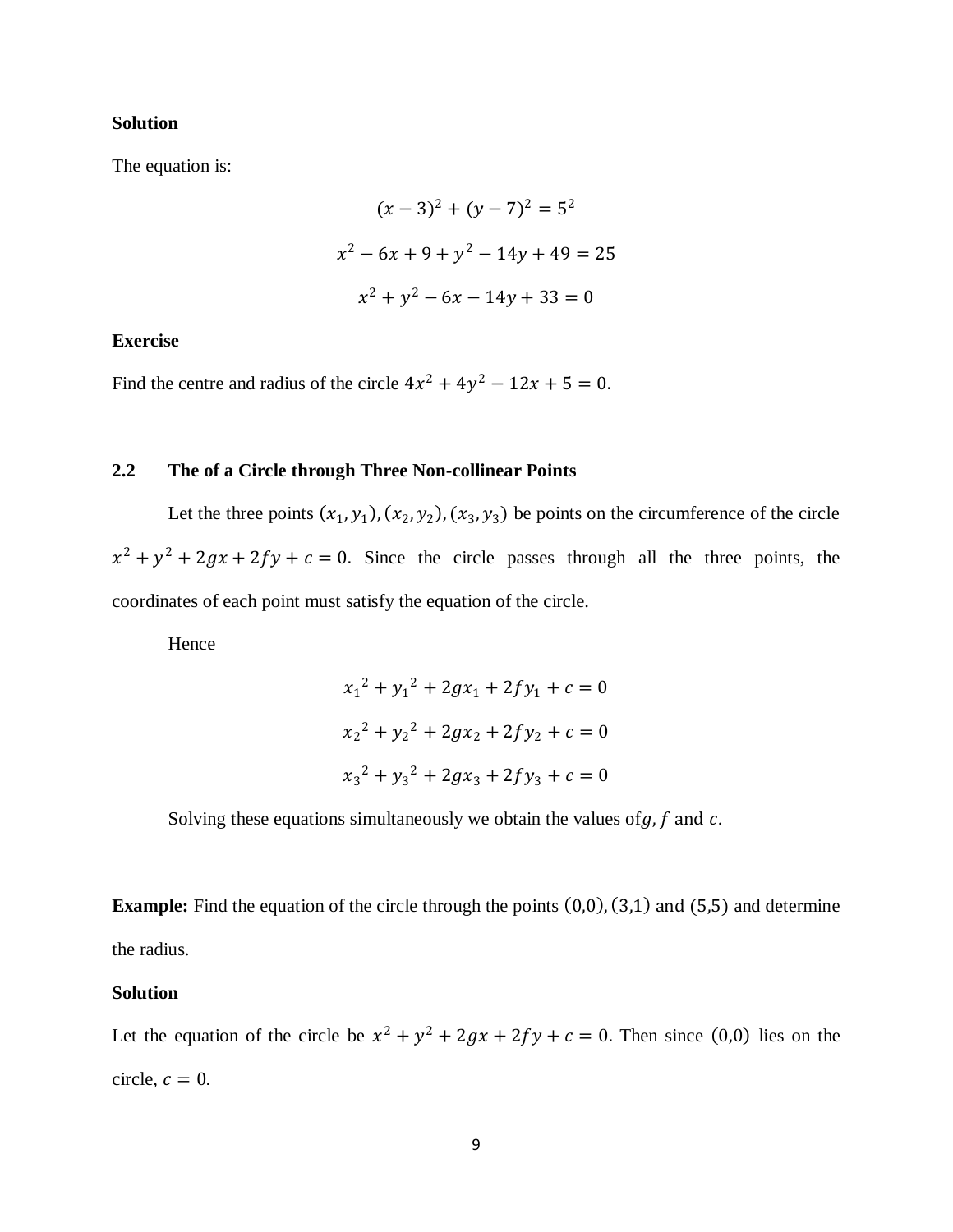#### **Solution**

The equation is:

$$
(x-3)2 + (y-7)2 = 52
$$
  

$$
x2 - 6x + 9 + y2 - 14y + 49 = 25
$$
  

$$
x2 + y2 - 6x - 14y + 33 = 0
$$

#### **Exercise**

Find the centre and radius of the circle  $4x^2 + 4y^2 - 12x + 5 = 0$ .

#### **2.2 The of a Circle through Three Non-collinear Points**

Let the three points  $(x_1, y_1), (x_2, y_2), (x_3, y_3)$  be points on the circumference of the circle  $x^2 + y^2 + 2gx + 2fy + c = 0$ . Since the circle passes through all the three points, the coordinates of each point must satisfy the equation of the circle.

Hence

$$
x_1^2 + y_1^2 + 2gx_1 + 2fy_1 + c = 0
$$
  

$$
x_2^2 + y_2^2 + 2gx_2 + 2fy_2 + c = 0
$$
  

$$
x_3^2 + y_3^2 + 2gx_3 + 2fy_3 + c = 0
$$

Solving these equations simultaneously we obtain the values of  $g$ ,  $f$  and  $c$ .

**Example:** Find the equation of the circle through the points  $(0,0)$ ,  $(3,1)$  and  $(5,5)$  and determine the radius.

#### **Solution**

Let the equation of the circle be  $x^2 + y^2 + 2gx + 2fy + c = 0$ . Then since (0,0) lies on the circle,  $c = 0$ .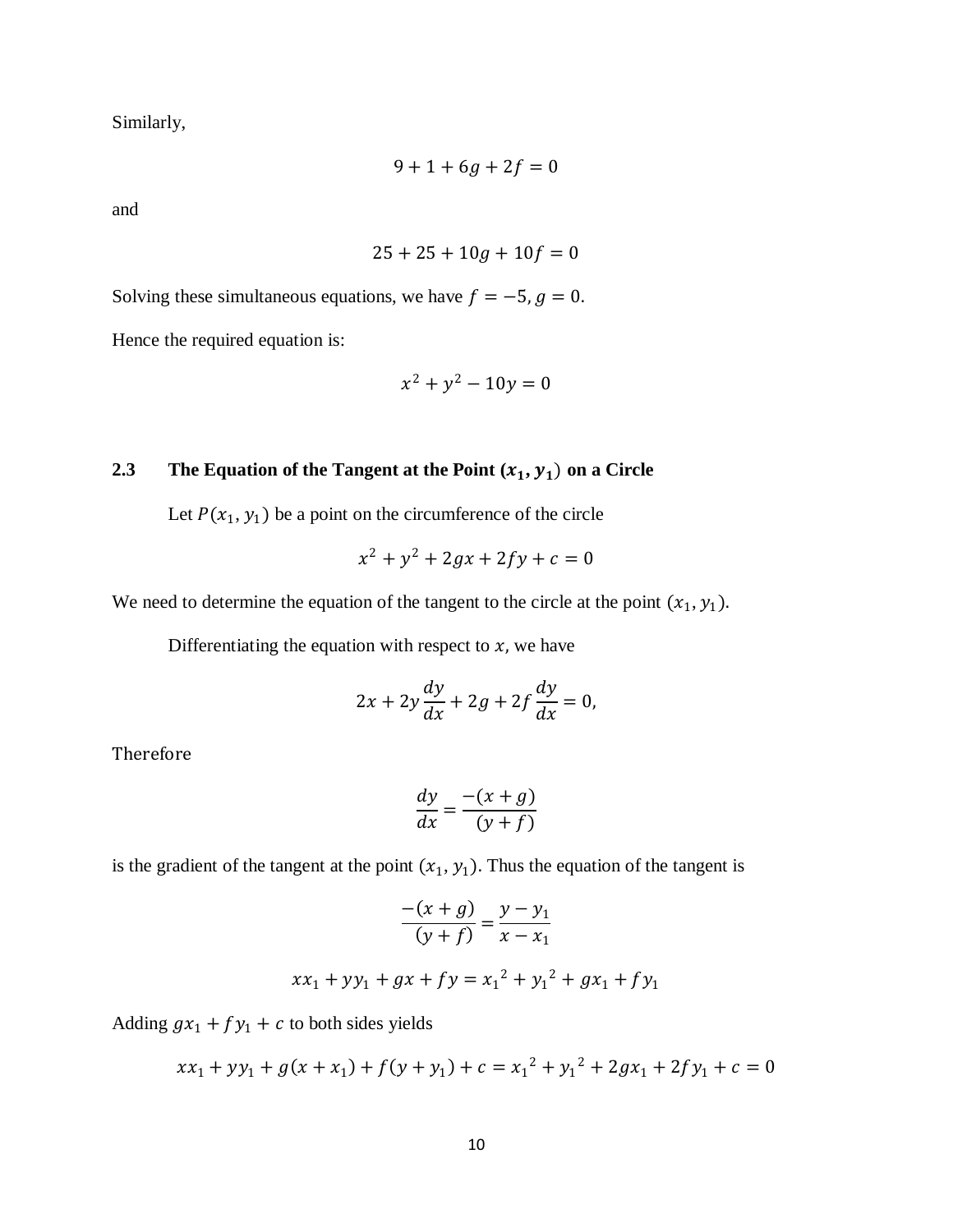Similarly,

$$
9+1+6g+2f=0
$$

and

$$
25 + 25 + 10g + 10f = 0
$$

Solving these simultaneous equations, we have  $f = -5$ ,  $g = 0$ .

Hence the required equation is:

$$
x^2 + y^2 - 10y = 0
$$

# **2.3 The Equation of the Tangent at the Point**  $(x_1, y_1)$  on a Circle

Let  $P(x_1, y_1)$  be a point on the circumference of the circle

$$
x^2 + y^2 + 2gx + 2fy + c = 0
$$

We need to determine the equation of the tangent to the circle at the point  $(x_1, y_1)$ .

Differentiating the equation with respect to  $x$ , we have

$$
2x + 2y\frac{dy}{dx} + 2g + 2f\frac{dy}{dx} = 0,
$$

Therefore

$$
\frac{dy}{dx} = \frac{-(x+g)}{(y+f)}
$$

is the gradient of the tangent at the point  $(x_1, y_1)$ . Thus the equation of the tangent is

$$
\frac{-(x+g)}{(y+f)} = \frac{y-y_1}{x-x_1}
$$
  

$$
xx_1 + yy_1 + gx + fy = x_1^2 + y_1^2 + gx_1 + fy_1
$$

Adding  $gx_1 + fy_1 + c$  to both sides yields

$$
xx_1 + yy_1 + g(x + x_1) + f(y + y_1) + c = x_1^2 + y_1^2 + 2gx_1 + 2fy_1 + c = 0
$$